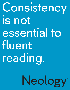# Consistency is not essential to fluent reading.

# Neology®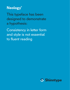## **Neology®**

This typeface has been designed to demonstrate a hypothesis:

Consistency in letter form and style is not essential to fluent reading

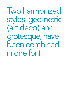Two harmonized styles, geometric (art deco) and grotesque, have been combined in one font.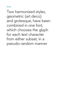**Neology**

Two harmonized styles, geometric (art deco) and grotesque, have been combined in one font, which chooses the glyph for each text character from either subset, in a pseudo-random manner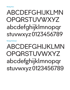# abcdefghijklmn **OPQRSTUVWXYZ** abcdefghijklmnopqr stuvwxyz0123456789

**Neology Grotesque**

# abcdefghijklmn **OPQRSTUVWXYZ** abcdefghijklmnopqr stuvwxyz0123456789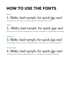## **HOW TO USE THE FONTS**

#### **Neology**

### 1. Waltz, bad nymph, for quick jigs vex!

The default sets every other character in the alternate glyph (plus no repeats within five characters).

#### **Neology**

### 2.. Waltz, bad nymph, for quick jigs vex!

By introducing one extra character at the beginning (here, a period), everything shifts one unit and glyphs alternate accordingly.

#### **Neology Deco**

### 3. Waltz, bad nymph, for quick jigs vex!

The Deco setting is achieved by deselecting "Contextual Alternates" in the OpenType menu, or with a Neology Deco font.

#### **Neology Grotesque**

### 4. Waltz, bad nymph, for quick jigs vex!

The Grotesque setting is achieved by selecting "Stylistic Set 1" in a Neology font, or with a Neology Grotesque font.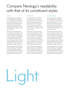#### **Neology**

It is tempting to think of reading as two independent processes that occur concurrently: (1) the utilitarian task of decoding text, to which is attached (2) an aesthetic veneer of style that conveys meta qualities, positioning the document in its own niche within the vast edifice of culture and commerce.

But there are other, functional reasons for type style. Each face is also a formally engineered system with its own visual syntax and vocabulary, a unique strategy for crafting letters to flow and fit in myriad combinations, in which any sequence exhibits optimal readability. Thus it becomes apparent that in many respects, for type design, aesthetics IS function.

There is speculation that, given the physical nature of eye and alphabet, and the measurability of reading speed, an ideal font architecture may be computed. Such one-size-fits-all ideology is at odds with humanity.

Light

#### Neology Deco

It is tempting to think of reading as two independent processes that occur concurrently: (1) the utilitarian task of decoding text, to which is attached (2) an aesthetic veneer of style that conveys meta qualities, positioning the document in its own niche within the vast edifice of culture and commerce.

But there are other, functional reasons for type style. Each face is also a formally engineered system with its own visual syntax and vocabulary, a unique strategy for crafting letters to flow and fit in myriad combinations, in which any sequence exhibits optimal readability. Thus it becomes apparent that in many respects, for type design, aesthetics IS function.

There is speculation that, given the physical nature of eye and alphabet, and the measurability of reading speed, an ideal font architecture may be computed. Such one-size-fits-all ideology is at odds with humanity.

#### Neology Grotesque

It is tempting to think of reading as two independent processes that occur concurrently: (1) the utilitarian task of decoding text, to which is attached (2) an aesthetic veneer of style that conveys meta qualities, positioning the document in its own niche within the vast edifice of culture and commerce.

But there are other, functional reasons for type style. Each face is also a formally engineered system with its own visual syntax and vocabulary, a unique strategy for crafting letters to flow and fit in myriad combinations, in which any sequence exhibits optimal readability. Thus it becomes apparent that in many respects, for type design, aesthetics IS function.

There is speculation that, given the physical nature of eye and alphabet, and the measurability of reading speed, an ideal font architecture may be computed. Such one-size-fits-all ideology is at odds with humanity.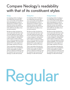#### Neology

It is tempting to think of reading as two independent processes that occur concurrently: (1) the utilitarian task of decoding text, to which is attached (2) an aesthetic veneer of style that conveys meta qualities, positioning the document in its own niche within the vast edifice of culture and commerce.

But there are other, functional reasons for type style. Each face is also a formally engineered system with its own visual syntax and vocabulary, a unique strategy for crafting letters to flow and fit in myriad combinations, in which any sequence exhibits optimal readability. Thus it becomes apparent that in many respects, for type design, aesthetics IS function.

There is speculation that, given the physical nature of eye and alphabet, and the measurability of reading speed, an ideal font architecture may be computed. Such one-size-fits-all ideology is at odds with humanity.

#### Neology Deco

It is tempting to think of reading as two independent processes that occur concurrently: (1) the utilitarian task of decoding text, to which is attached (2) an aesthetic veneer of style that conveys meta qualities, positioning the document in its own niche within the vast edifice of culture and commerce.

But there are other, functional reasons for type style. Each face is also a formally engineered system with its own visual syntax and vocabulary, a unique strategy for crafting letters to flow and fit in myriad combinations, in which any sequence exhibits optimal readability. Thus it becomes apparent that in many respects, for type design, aesthetics IS function.

There is speculation that, given the physical nature of eye and alphabet, and the measurability of reading speed, an ideal font architecture may be computed. Such one-size-fits-all ideology is at odds with humanity.

#### Neology Grotesque

It is tempting to think of reading as two independent processes that occur concurrently: (1) the utilitarian task of decoding text, to which is attached (2) an aesthetic veneer of style that conveys meta qualities, positioning the document in its own niche within the vast edifice of culture and commerce.

But there are other, functional reasons for type style. Each face is also a formally engineered system with its own visual syntax and vocabulary, a unique strategy for crafting letters to flow and fit in myriad combinations, in which any sequence exhibits optimal readability. Thus it becomes apparent that in many respects, for type design, aesthetics IS function.

There is speculation that, given the physical nature of eye and alphabet, and the measurability of reading speed, an ideal font architecture may be computed. Such one-size-fits-all ideology is at odds with humanity.

# Regular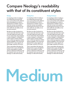#### Neology

It is tempting to think of reading as two independent processes that occur concurrently: (1) the utilitarian task of decoding text, to which is attached (2) an aesthetic veneer of style that conveys meta qualities, positioning the document in its own niche within the vast edifice of culture and commerce.

But there are other, functional reasons for type style. Each face is also a formally engineered system with its own visual syntax and vocabulary, a unique strategy for crafting letters to flow and fit in myriad combinations, in which any sequence exhibits optimal readability. Thus it becomes apparent that in many respects, for type design, aesthetics IS function.

There is speculation that, given the physical nature of eye and alphabet, and the measurability of reading speed, an ideal font architecture may be computed. Such one-size-fits-all ideology is at odds with humanity.

#### Neology Deco

It is tempting to think of reading as two independent processes that occur concurrently: (1) the utilitarian task of decoding text, to which is attached (2) an aesthetic veneer of style that conveys meta qualities, positioning the document in its own niche within the vast edifice of culture and commerce.

But there are other, functional reasons for type style. Each face is also a formally engineered system with its own visual syntax and vocabulary, a unique strategy for crafting letters to flow and fit in myriad combinations, in which any sequence exhibits optimal readability. Thus it becomes apparent that in many respects, for type design, aesthetics IS function.

There is speculation that, given the physical nature of eye and alphabet, and the measurability of reading speed, an ideal font architecture may be computed. Such one-size-fits-all ideology is at odds with humanity.

#### Neology Grotesque

It is tempting to think of reading as two independent processes that occur concurrently: (1) the utilitarian task of decoding text, to which is attached (2) an aesthetic veneer of style that conveys meta qualities, positioning the document in its own niche within the vast edifice of culture and commerce.

But there are other, functional reasons for type style. Each face is also a formally engineered system with its own visual syntax and vocabulary, a unique strategy for crafting letters to flow and fit in myriad combinations, in which any sequence exhibits optimal readability. Thus it becomes apparent that in many respects, for type design, aesthetics IS function.

There is speculation that, given the physical nature of eye and alphabet, and the measurability of reading speed, an ideal font architecture may be computed. Such one-size-fits-all ideology is at odds with humanity.

# Medium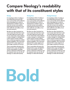#### **Neology**

**It is tempting to think of reading as two independent processes that occur concurrently: (1) the utilitarian task of decoding text, to which is attached (2) an aesthetic veneer of style that conveys meta qualities, positioning the document in its own niche within the vast edifice of culture and commerce.** 

**But there are other, functional reasons for type style. Each face is also a formally engineered system with its own visual syntax and vocabulary, a unique strategy for crafting letters to flow and fit in myriad combinations, in which any sequence exhibits optimal readability. Thus it becomes apparent that in many respects, for type design, aesthetics IS function.**

**There is speculation that, given the physical nature of eye and alphabet, and the measurability of reading speed, an ideal font architecture may be computed. Such one-size-fits-all ideology is at odds with humanity.**

#### **Neology Deco**

**It is tempting to think of reading as two independent processes that occur concurrently: (1) the utilitarian task of decoding text, to which is attached (2) an aesthetic veneer of style that conveys meta qualities, positioning the document in its own niche within the vast edifice of culture and commerce.** 

**But there are other, functional reasons for type style. Each face is also a formally engineered system with its own visual syntax and vocabulary, a unique strategy for crafting letters to flow and fit in myriad combinations, in which any sequence exhibits optimal readability. Thus it becomes apparent that in many respects, for type design, aesthetics IS function.**

**There is speculation that, given the physical nature of eye and alphabet, and the measurability of reading speed, an ideal font architecture may be computed. Such one-size-fits-all ideology is at odds with humanity.**

#### **Neology Grotesque**

**It is tempting to think of reading as two independent processes that occur concurrently: (1) the utilitarian task of decoding text, to which is attached (2) an aesthetic veneer of style that conveys meta qualities, positioning the document in its own niche within the vast edifice of culture and commerce.** 

**But there are other, functional reasons for type style. Each face is also a formally engineered system with its own visual syntax and vocabulary, a unique strategy for crafting letters to flow and fit in myriad combinations, in which any sequence exhibits optimal readability. Thus it becomes apparent that in many respects, for type design, aesthetics IS function.**

**There is speculation that, given the physical nature of eye and alphabet, and the measurability of reading speed, an ideal font architecture may be computed. Such one-size-fits-all ideology is at odds with humanity.**

# **Bold**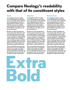#### **Neology**

**It is tempting to think of reading as two independent processes that occur concurrently: (1) the utilitarian task of decoding text, to which is attached (2) an aesthetic veneer of style that conveys meta qualities, positioning the document in its own niche within the vast edifice of culture and commerce.** 

**But there are other, functional reasons for type style. Each face is also a formally engineered system with its own visual syntax and vocabulary, a unique strategy for crafting letters to flow and fit in myriad combinations, in which any sequence exhibits optimal readability. Thus it becomes apparent that in many respects, for type design, aesthetics IS function.**

**There is speculation that, given the physical nature of eye and alphabet, and the measurability of reading speed, an ideal font architecture may be computed. Such one-size-fits-all ideology is at odds with humanity.**

#### **Neology Deco**

**It is tempting to think of reading as two independent processes that occur concurrently: (1) the utilitarian task of decoding text, to which is attached (2) an aesthetic veneer of style that conveys meta qualities, positioning the document in its own niche within the vast edifice of culture and commerce.** 

**But there are other, functional reasons for type style. Each face is also a formally engineered system with its own visual syntax and vocabulary, a unique strategy for crafting letters to flow and fit in myriad combinations, in which any sequence exhibits optimal readability. Thus it becomes apparent that in many respects, for type design, aesthetics IS function.**

**There is speculation that, given the physical nature of eye and alphabet, and the measurability of reading speed, an ideal font architecture may be computed. Such one-size-fits-all ideology is at odds with humanity.**

#### **Neology Grotesque**

**It is tempting to think of reading as two independent processes that occur concurrently: (1) the utilitarian task of decoding text, to which is attached (2) an aesthetic veneer of style that conveys meta qualities, positioning the document in its own niche within the vast edifice of culture and commerce.** 

**But there are other, functional reasons for type style. Each face is also a formally engineered system with its own visual syntax and vocabulary, a unique strategy for crafting letters to flow and fit in myriad combinations, in which any sequence exhibits optimal readability. Thus it becomes apparent that in many respects, for type design, aesthetics IS function.**

**There is speculation that, given the physical nature of eye and alphabet, and the measurability of reading speed, an ideal font architecture may be computed. Such one-size-fits-all ideology is at odds with humanity.**

**Extra Bold**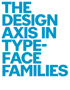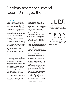## Neology addresses several recent Shinntype themes

#### **The physiology of reading**

Scientific research into the nature of reading invariably utilizes default fonts. But if research is to have any bearing on typography, new faces must be created with variants designed explicitly to test hypotheses—thereby isolating typographic qualities rather than confounding them amongst the many different attributes of different typefaces.

The premise of Neology is that the reader processes only as much detail of a glyph as is necessary to decode it. Because the fovea subtends a tiny angle of vision in each saccadic rest, only three or four glyphs are observed concurrently with any acuity. It matters not that details of a letter may vary between saccades, because if such differences do not occur in the same visual grab, they will not register; for memory and analysis would be required to make such a distinction.

#### **Pseudo-random contextuality**

With the introduction of OpenType, the Contextual Alternates feature was used to encode the joining conventions of calligraphy, for which it was devised.

However, other uses have emerged, one of which is to create a pseudo-random effect simulating the pleasantly organic quality of casual lettering and writing.

Shinn has designed two such faces, Duffy Script and Fontesque Pro. In Duffy there are four sets of glyphs for each character, but the code in Fontesque Pro was refined to work with just two, as the same letter never occurs more than twice in succession in any language. This is the code used for Neology.

#### **The design axis in type families**

The standard design axes within a typeface family are weight, slant, and horizontal scale, to which may be added optical scaling. Megafamilies have gone further, with serif and sans serif defined as related styles. Shinn has explored yet other design axes in various types:

- Handsome. A handwriting typeface rendered in half a dozen nib styles.
- Panoptica. More of an alphabet than a typeface, by virtue of its "unicase plus monowidth" premise. Almost any type style may be rendered in the Panoptic mode. Shinntype has published seven.
- Eunoia.Three interpretations of the condensed, high contrast, geometric genre: Art Deco, Op Art and Techno.
- Sense and Sensibility. Located on an axis close to the extremes of geometric and humanist, this sans serif superfamily is the precursor to Neology.

To create the Neology effect, Sense and Sensibility were at first combined, but this method was dismissed as ad hoc and lacking in rigor. Instead, the two components of Neology were designed from scratch in styles that specifically engage its raison d'être, harmonized in weight, contrast and vertical proportion, with the conceit extending throughout the complete character set. However, about half the glyphs are common: only those characters which exhibit categoric structural differences between the classic grotesque and geometric forms (e.g. Helvetica and Futura, see right) have been provided with alternates, mere variation in proportion not being considered especially relevant to the business of character recognition.



Fig. 1. Where the difference between grotesque and geometric archetypes is a question of proportion, the glyphs are identical in both Neology variants.

Helvetica Futura Neology (both)

Fig. 2. Where the difference is a matter of fundamental structure, the glyphs in Neology Grotesque and Neology Deco observe that distinction.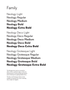## Family

Neology Light Neology Regular Neology Medium **Neology Bold Neology Extra Bold**

Neology Deco Light Neology Deco Regular Neology Deco Medium **Neology Deco Bold Neology Deco Extra Bold**

Neology Grotesque Light Neology Grotesque Regular Neology Grotesque Medium **Neology Grotesque Bold Neology Grotesque Extra Bold**

The Neology fonts may be converted to either of their constituent styles; to Deco by deselecting the Contextual Alternates feature, and to Grotesque by applying Stylistic Set 1.

The Deco and Grotesque styles are also available as separate fonts, each containing only a single set of glyphs.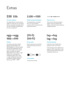### Extras

### \$3B \$3b

#### **Two sizes of figures**

The default figures are three-quarter height, for mixed case use. For figures that are cap height and weight, select "all caps". Monetary symbols follow the same arrangement.

### 1100→1100

#### **Tabular & proportional figures**

The default figures are tabular; their "one" has a baseline crossbar, which is removed for the proportional version.



#### **Minus & arrows**

Minus and en-dash have identical glyphs. Arrows are aligned with dashes, and have the same thickness, enabling extension.

#### egg→egg 999→999

#### **Doubles**

According to the theory behind Neology, doubled letters with differing glyphs can disrupt reading. But does the typographer wish to avoid this situation or let it stand? Either is possible: the default differentiates, hence "egg" or "egg". Stylistic Set 2 will negate this, doubling the glyph, hence "egg" or "egg"; similarly, this feature will homogenize multiple repeated figures, e.g. "9999" > "9999".

### (Hi-fi) (Hi-fi)

#### **All-cap marks**

Several characters are provided with raised versions for all-cap setting.



**Extra symbols** Could come in handy.

### lag→lag lag→lag

#### **'Normal' alternates**

In the Deco fonts, Stylistic Set 1 replaces a with a, as in Futura.

In the Grotesque fonts, Stylistic Set 1 replaces l with l, and g with g, for the classic grotesque letter forms found in Helvetica, Univers, etc.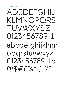**Neology Deco Light** 

# ABCDFFGHIJ KLMNOPORS TUVWXY&Z 0123456789 1 abcdefghijklmn opgrstuvwxyz 0123456789 1a @\$ $EE\%$  "!?"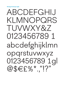**Neology Grotesque Light** 

# ABCDFFGHIJ KLMNOPQRS TUVWXY&Z 0123456789 1 abcdefghijklmn opgrstuvwxyz  $0123456789191$ <br>@\$E£%\*."!?"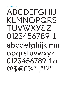# ABCDEFGHIJ KLMNOPQRS TUVWXY&Z 01234567891 abcdefghijklmn opgrstuvwxyz 0123456789 1a @\$ $EE\%$  "1?"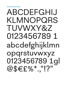**Neology Grotesque Regular** 

# ABCDEFGHIJ KLMNOPQRS TUVWXY&Z 0123456789 1 abcdefghijklmn opgrstuvwxyz 0123456789 1gl  $@$EE\%$  "!?"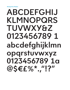# ABCDEFGHIJ KLMNOPQRS **TUVWXY&Z** 01234567891 abcdefghijklmn opgrstuvwxyz 0123456789 1a @\$EE%\*."!?"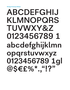# ABCDEFGHIJ KLMNOPQRS TUVWXY&Z 01234567891 abcdefghijklmn opgrstuvwxyz 0123456789 1gl @\$E£%\*.."!?"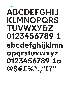# ABCDEFGHIJ KLMNOPQRS **TUVWXY&Z** 01234567891 abcdefghijklmn opgrstuvwxyz 0123456789 1a **@SEE%\*** "1?"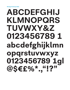**Neology Grotesque Bold** 

# ABCDEFGHIJ KLMNOPQRS TUVWXY&Z 01234567891 abcdefghijklmn opgrstuvwxyz 0123456789 1gl<br>@\$€£%\*."!?"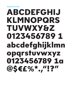# ABCDEFGHIJ KLMNOPQRS TUVWXY&Z 01234567891 abcdefghijklmn opgrstuvwxyz 0123456789 1a **@SEE%\***, "1?"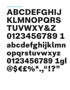# ABCDEFGHIJ KLMNOPQRS TUVWXY&Z 01234567891 abcdefghijklmn opgrstuvwxyz 0123456789 1gl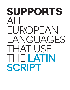# **supports** all FUROPEAN LANGUAGES THAT USE the Latin SCRIPT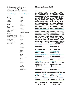**Neology supports at least forty languages, including all European languages that use the Latin script.**

**Supported code pages Supported languages**

English French

Mac OS Roman Central Europe **Croatian** Icelandic Romanian Turkish

MS WINDOWS 1252 Western 1250 Eastern European 1254 Turkish 1257 Baltic

#### ISO 8859

Latin 1 Western Europe Latin 2 Central Europe Latin 3 Tu, Malt, Gal, Esp Latin 4 Baltic Latin 5 Turkish Latin 6 Scandinavian Latin 7 Baltic 2

Spanish German **Dutch** Danish Italian Portuguese Icelandic Finnish Swedish Norwegian Norwegian (Bokmål) Polish Czech Hungarian Slovak Catalan Irish Romanian **Turkish** Slovenian Latvian Lithuanian Estonian **Maltese** Albanian **Welsh** Breton Latin Luxembourghish Romani Basque Corsican Croatian Faroese Galician Sardinian **Esperanto** Scottish Gaelic

#### **Neology Extra Bold**

#### deco

#### capitals **aáàâäãåąāăb cçčćċĉdđďeéè êëęēěėĔfgģğġĝ hħĥiİ Ĭíìîïįīĩjĵkķ LŁLĿĽĹMNÑNŇŇ ŋoóòôöõőōø pqrŕřŗsšşșśŝ tťţȚŧuúùûüųū ůűŭũvwxyýÿŶỲ zžżźijƏæœðþẞ**

#### lower case

**aáàâäãåąāăbcçčćċ ĉdďđeéèêëęēěėĕf gģğġĝhħĥıiĭíìîïįīĩjĵ kķlłļŀĺľmnñņńňŋoó òôöõøőōpqrŕřŗsšş șśŝſßtť ţțŧuúùûüųū ůűŭũvwxyýÿzžżźijə æœðþ aáàâäãåąāă**

#### tabular figures **0123456789**

tabular cap figures

#### **0123456789**

proportional figures

```
0123456789
```
proportional cap figures

#### **0123456789**

| <b>FRACTIONS</b>                          | <b>SUPERIORS</b> |
|-------------------------------------------|------------------|
| $\frac{1}{2}$ $\frac{1}{4}$ $\frac{3}{4}$ | <b>123TM</b>     |
| MATHEMATICAL                              |                  |

```
∑∏ΔΩ∞µπ∫√∂~^°
+−×÷=≈≠±<>≤≥
```

```
¬|¦#◊%‰
```

```
currency ordinals
```

```
$ £ ¥ € ¢ƒ¤ ªº
```

```
cap-height currency & marks
```

```
$£¥€«»‹›(-)[–]{—}
```

```
QUOTES DASHES
^{\text{minmin}} «» \leftrightarrow _{\text{min}} - – –
```

```
POINTS SEPARATORS
```

```
?!,.:;…·¿¡ (/)[\]{|}
```
Miscellaneous **•&\*†‡§¶®©℗@**

```
←→▪▫▶▹○●
```
#### **GROTESQUE** capitals

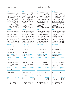| <br>۰, |
|--------|
|--------|

**CAPITALS** aáàâäãåąāăb cçčćċĉdđďeéè <u>ÊËĘĒĚĔĔ</u>FGĢĞĠĜ HĦĤI İ Ĭ Î Î Î Î J Ĵ K Ķ lłļŀľĺmnñņńň ŋoóòôöõőōø PQRŔŘŖSŠŞŞŚŜ tťţȚŧuúùûüųū ůűŭũvwxyýÿŶỲ zžżźijƏæœðþẞ lower case aáàâäãåąāăbcçčćċ ĉdďđeéèêëęēěėĕf gģğġĝhħĥıiĭíìîïįīĩjĵ kķlłļŀĺľmnñņńňŋoó òôöõøőōpqrŕřŗsšş șśŝſßtťţțŧuúùûüųū ůűŭũvwxyýÿzžżźijə æœðþ aáàâäãåąāă tabular figures 0123456789 tabular cap figures 0123456789 proportional figures 0123456789 proportional cap figures 0123456789 **FRACTIONS** SUPERIORS  $\frac{1}{2}$   $\frac{1}{4}$   $\frac{3}{4}$  <br>1 2 3 ™ **MATHEMATICAL** ∑∏ΔΩ∞µπ∫√∂~^° +−×÷=≈≠±<>≤≥ ¬|¦#◊%‰ currency ordinals  $$E$  $*$  $E$  $*$  $F$  $*$  $a$  $a$ <sup> $0$ </sup> cap-height currency & marks  $$E \neq \> \> (-)[-]{-}$ QUOTES DASHES  $^{\text{min}_{\text{max}} \times \times \times \text{min}_{\text{max}}$  \_--points SEPARATORS  $?!$ ,.:;....;\_; (/)[\]{|} **MISCELLANEOUS GROTESQUE CAPITALS** aáàâäãåąāăb cçčćċĉdđďeéè **ÊËĘĒĚĖĔFGGĞĠĜ** HĦĤI İ Ĭ İ Î Î J Ĵ K Ķ lłļŀľĺmnñņńň ŋoóòôöõőōø PQRŔŘŖSŠŞŞŚŜ tťţȚŧuúùûüųū ůűŭũvwxyýÿŶỲ zžżźijƏæœðþẞ LOWER CASE aáàâäãåąāăbcçčćċ ĉdďđeéèêëęēěėĕf gģğġĝhħĥıiĭíìîïįīĩjĵ kķlłļŀĺľmnñņńňŋoó òôöõøőōpqrŕřŗsšş șśŝſßtťţțŧuúùûüųū ůűŭũvwxyýÿzžżźijə æœðþ gģğġĝl łļŀĺľ **TABULAR FIGURES** 0123456789 tabular cap figures 0123456789 **PROPORTIONAL FIGURES** 0123456789 proportional cap figures 0123456789 **FRACTIONS** SUPERIORS  $\frac{1}{2}$   $\frac{1}{4}$   $\frac{3}{4}$  123™ **MATHEMATICAL** ∑∏ΔΩ∞µπ∫√∂~^° +−×÷=≈≠±<>≤≥ ¬|¦#◊%‰ CURRENCY ORDINALS  $$E$ ¥ $∈$ ¢ $f$ ¤ ªº cap-height currency & marks  $$E \neq \> \> (-)[-](-)$ QUOTES DASHES  $^{\text{max}}$   $\otimes$   $\otimes$   $\otimes$   $\ldots$  \_-–– points SEPARATORS ?!,.:;…·¿¡ (/)[\]{|} Miscellaneous

•&\*†‡§¶®©℗@ ←→▪▫▶▹○●

•&\*†‡§¶®©℗@ ←→▪▫▶▹○●

#### Neology Light Neology Regular

| ۰, | ٠<br>P.<br>I<br>۰,<br>$\sim$<br>$\sim$ |
|----|----------------------------------------|
|    |                                        |

**CAPITALS** aáàâäãåąāăb cçčćċĉdđďeéè ÊËĘĒĚĖĔFGĢĞĠĜ HĦĤI İ Ĭ Í Î Î J Î Î J Î K K LŁLĿĽĹMNÑNŃŇ ŋoóòôöõőōø PQRŔŘŖSŠŞŞŚŜ TŤŢTŦUÚÙÛÜŲŪ ůűŭũvwxyýÿŶỲ zžżźijƏæœðþẞ

#### lower case

aáàâäãåąāăbcçčćċ ĉdďđeéèêëęēěėĕf gģğġĝhħĥıiĭíìîïįīĩjĵ kķlłļŀĺľmnñņńňŋoó òôöõøőōpqrŕřŗsšş șśŝſßtťţțŧuúùûüųū ůűŭũvwxyýÿzžżźijə æœðþ aáàâäãåąāă

#### tabular figures 0123456789

**TABULAR CAP FIGURES** 0123456789

proportional figures

0123456789

proportional cap figures 0123456789

**FRACTIONS** SUPERIORS  $\frac{1}{2}$   $\frac{1}{4}$   $\frac{3}{4}$  2 3 ™ **MATHEMATICAL** 

∑∏ΔΩ∞µπ∫√∂~^° +−×÷=≈≠±<>≤≥ ¬|¦#◊%‰

currency ordinals \$ £ ¥€¢ƒ¤ ªº

cap-height currency & marks

\$£¥€«»‹›(-)[–]{—} QUOTES DASHES

 $^{\text{min}_{n} \times \times \times_{n}}$  \_--points SEPARATORS ?!,.:;....;<sub>i</sub> (/)[\]{|} **MISCELLANEOUS** 

•&\*†‡§¶®©℗@ ←→▪▫▶▹○●

#### êëeēě EGGĞĠĜ HĦĤI I Ĭ ÍÌ I Ĵ J Ĵ K Ķ LŁLĿĽĹMNÑNŃŇ ŋoóòôöõőōø PQRŔŘŖSŠ\$Ş\$Ŝ tťţȚŧuúùûüųū ůűŭũvwxyýÿŶỲ zžżźijƏæœðþẞ LOWER CASE aáàâäãåąāăbcçčćċ ĉdďđeéèêëęēěėĕf gģğġĝhħĥıiĭíìîïįīĩjĵ kķlłļŀĺľmnñņńňŋoó òôöõøőōpqrŕřŗsšş șśŝſßtťţțŧuúùûüųū ůűŭũvwxyýÿzžżźijə æœðþ gģğġĝlłļŀĺľ TABULAR FIGURES 0123456789 tabular cap figures 0123456789 proportional figures 0123456789 proportional cap figures 0123456789 FRACTIONS SUPERIORS  $\frac{1}{2}$   $\frac{1}{4}$   $\frac{3}{4}$  123™ **MATHEMATICAL** ∑∏ΔΩ∞µπ∫√∂~^° +−×÷=≈≠±<>≤≥ ¬|¦#◊%‰

**GROTESQUE CAPITALS** 

aáàâäãåąāăb cçčćċĉdđďeéè

CURRENCY ORDINALS \$ £ ¥€¢ƒ¤ ªº cap-height currency & marks  $$E \neq \& \cdots \& ( - )[-] \{ - \}$ QUOTES DASHES  $\sum_{i=1}^{\text{min}(n)} \langle \langle \rangle \rangle \langle \rangle_{ij}, \quad \sum_{i=1}^{\infty}$ points SEPARATORS  $?!,$ :;…·¿¡ (/)[\]{|} **MISCELLANEOUS** •&\*†‡§¶®©℗@

←→▪▫▶▹○●